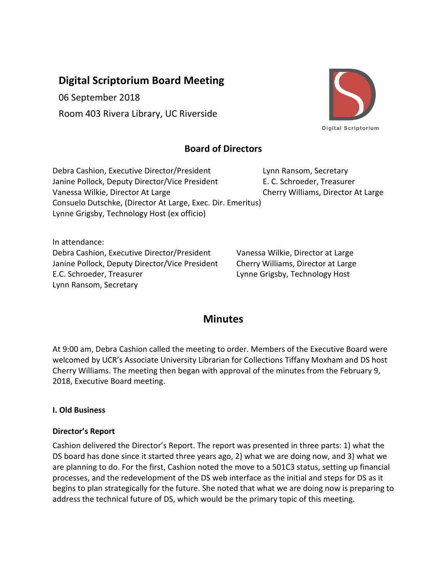# **Digital Scriptorium Board Meeting**

06 September 2018

Room 403 Rivera Library, UC Riverside



## **Board of Directors**

Debra Cashion, Executive Director/President Lynn Ransom, Secretary Janine Pollock, Deputy Director/Vice President E. C. Schroeder, Treasurer Vanessa Wilkie, Director At Large Cherry Williams, Director At Large Consuelo Dutschke, (Director At Large, Exec. Dir. Emeritus) Lynne Grigsby, Technology Host (ex officio)

In attendance: Debra Cashion, Executive Director/President Vanessa Wilkie, Director at Large Janine Pollock, Deputy Director/Vice President Cherry Williams, Director at Large E.C. Schroeder, Treasurer Lynne Grigsby, Technology Host Lynn Ransom, Secretary

## **Minutes**

At 9:00 am, Debra Cashion called the meeting to order. Members of the Executive Board were welcomed by UCR's Associate University Librarian for Collections Tiffany Moxham and DS host Cherry Williams. The meeting then began with approval of the minutes from the February 9, 2018, Executive Board meeting.

## **I. Old Business**

## **Director's Report**

Cashion delivered the Director's Report. The report was presented in three parts: 1) what the DS board has done since it started three years ago, 2) what we are doing now, and 3) what we are planning to do. For the first, Cashion noted the move to a 501C3 status, setting up financial processes, and the redevelopment of the DS web interface as the initial and steps for DS as it begins to plan strategically for the future. She noted that what we are doing now is preparing to address the technical future of DS, which would be the primary topic of this meeting.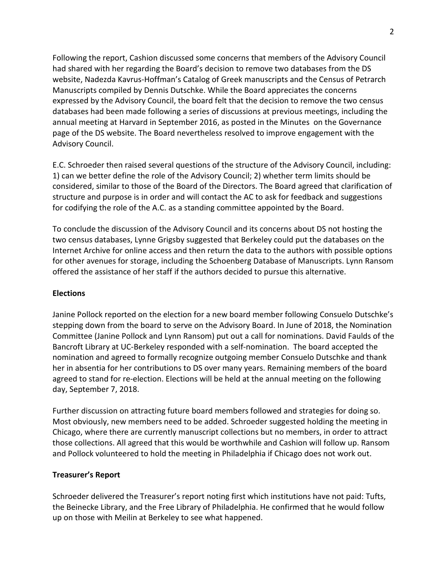Following the report, Cashion discussed some concerns that members of the Advisory Council had shared with her regarding the Board's decision to remove two databases from the DS website, Nadezda Kavrus-Hoffman's Catalog of Greek manuscripts and the Census of Petrarch Manuscripts compiled by Dennis Dutschke. While the Board appreciates the concerns expressed by the Advisory Council, the board felt that the decision to remove the two census databases had been made following a series of discussions at previous meetings, including the annual meeting at Harvard in September 2016, as posted in the Minutes on the Governance page of the DS website. The Board nevertheless resolved to improve engagement with the Advisory Council.

E.C. Schroeder then raised several questions of the structure of the Advisory Council, including: 1) can we better define the role of the Advisory Council; 2) whether term limits should be considered, similar to those of the Board of the Directors. The Board agreed that clarification of structure and purpose is in order and will contact the AC to ask for feedback and suggestions for codifying the role of the A.C. as a standing committee appointed by the Board.

To conclude the discussion of the Advisory Council and its concerns about DS not hosting the two census databases, Lynne Grigsby suggested that Berkeley could put the databases on the Internet Archive for online access and then return the data to the authors with possible options for other avenues for storage, including the Schoenberg Database of Manuscripts. Lynn Ransom offered the assistance of her staff if the authors decided to pursue this alternative.

#### **Elections**

Janine Pollock reported on the election for a new board member following Consuelo Dutschke's stepping down from the board to serve on the Advisory Board. In June of 2018, the Nomination Committee (Janine Pollock and Lynn Ransom) put out a call for nominations. David Faulds of the Bancroft Library at UC-Berkeley responded with a self-nomination. The board accepted the nomination and agreed to formally recognize outgoing member Consuelo Dutschke and thank her in absentia for her contributions to DS over many years. Remaining members of the board agreed to stand for re-election. Elections will be held at the annual meeting on the following day, September 7, 2018.

Further discussion on attracting future board members followed and strategies for doing so. Most obviously, new members need to be added. Schroeder suggested holding the meeting in Chicago, where there are currently manuscript collections but no members, in order to attract those collections. All agreed that this would be worthwhile and Cashion will follow up. Ransom and Pollock volunteered to hold the meeting in Philadelphia if Chicago does not work out.

#### **Treasurer's Report**

Schroeder delivered the Treasurer's report noting first which institutions have not paid: Tufts, the Beinecke Library, and the Free Library of Philadelphia. He confirmed that he would follow up on those with Meilin at Berkeley to see what happened.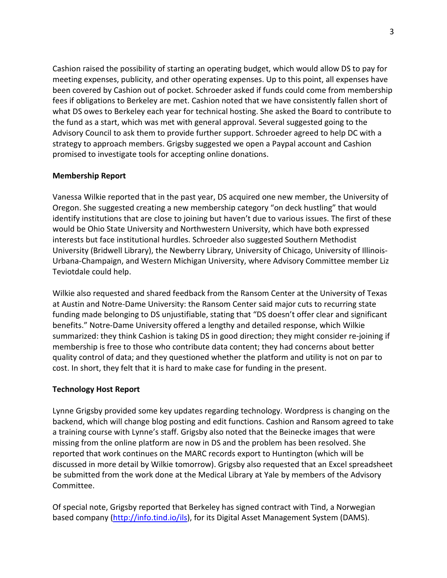Cashion raised the possibility of starting an operating budget, which would allow DS to pay for meeting expenses, publicity, and other operating expenses. Up to this point, all expenses have been covered by Cashion out of pocket. Schroeder asked if funds could come from membership fees if obligations to Berkeley are met. Cashion noted that we have consistently fallen short of what DS owes to Berkeley each year for technical hosting. She asked the Board to contribute to the fund as a start, which was met with general approval. Several suggested going to the Advisory Council to ask them to provide further support. Schroeder agreed to help DC with a strategy to approach members. Grigsby suggested we open a Paypal account and Cashion promised to investigate tools for accepting online donations.

#### **Membership Report**

Vanessa Wilkie reported that in the past year, DS acquired one new member, the University of Oregon. She suggested creating a new membership category "on deck hustling" that would identify institutions that are close to joining but haven't due to various issues. The first of these would be Ohio State University and Northwestern University, which have both expressed interests but face institutional hurdles. Schroeder also suggested Southern Methodist University (Bridwell Library), the Newberry Library, University of Chicago, University of Illinois-Urbana-Champaign, and Western Michigan University, where Advisory Committee member Liz Teviotdale could help.

Wilkie also requested and shared feedback from the Ransom Center at the University of Texas at Austin and Notre-Dame University: the Ransom Center said major cuts to recurring state funding made belonging to DS unjustifiable, stating that "DS doesn't offer clear and significant benefits." Notre-Dame University offered a lengthy and detailed response, which Wilkie summarized: they think Cashion is taking DS in good direction; they might consider re-joining if membership is free to those who contribute data content; they had concerns about better quality control of data; and they questioned whether the platform and utility is not on par to cost. In short, they felt that it is hard to make case for funding in the present.

#### **Technology Host Report**

Lynne Grigsby provided some key updates regarding technology. Wordpress is changing on the backend, which will change blog posting and edit functions. Cashion and Ransom agreed to take a training course with Lynne's staff. Grigsby also noted that the Beinecke images that were missing from the online platform are now in DS and the problem has been resolved. She reported that work continues on the MARC records export to Huntington (which will be discussed in more detail by Wilkie tomorrow). Grigsby also requested that an Excel spreadsheet be submitted from the work done at the Medical Library at Yale by members of the Advisory Committee.

Of special note, Grigsby reported that Berkeley has signed contract with Tind, a Norwegian based company [\(http://info.tind.io/ils\)](http://info.tind.io/ils), for its Digital Asset Management System (DAMS).